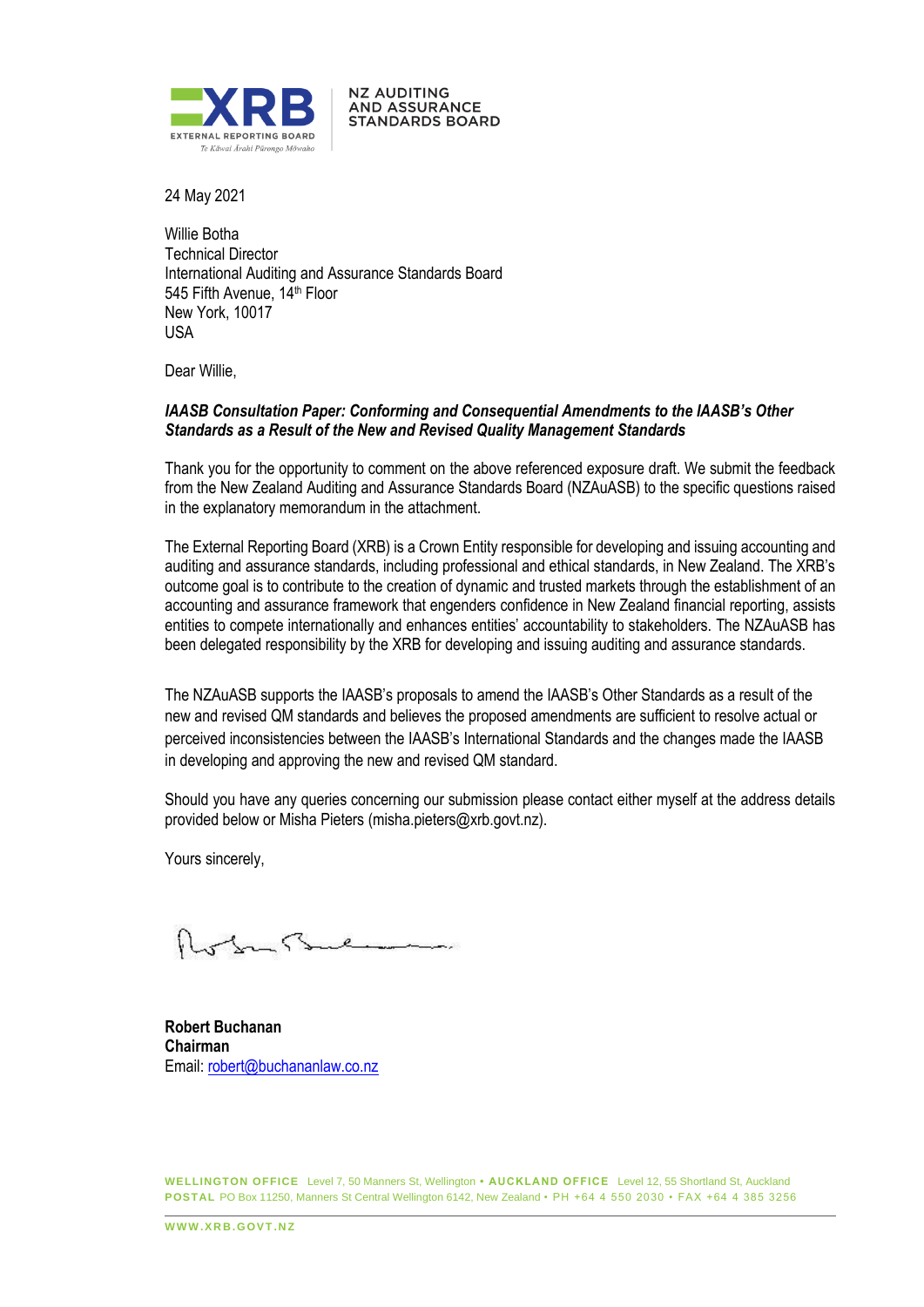

**NZ AUDITING AND ASSURANCE STANDARDS BOARD** 

24 May 2021

Willie Botha Technical Director International Auditing and Assurance Standards Board 545 Fifth Avenue, 14<sup>th</sup> Floor New York, 10017 USA

Dear Willie,

## *IAASB Consultation Paper: Conforming and Consequential Amendments to the IAASB's Other Standards as a Result of the New and Revised Quality Management Standards*

Thank you for the opportunity to comment on the above referenced exposure draft. We submit the feedback from the New Zealand Auditing and Assurance Standards Board (NZAuASB) to the specific questions raised in the explanatory memorandum in the attachment.

The External Reporting Board (XRB) is a Crown Entity responsible for developing and issuing accounting and auditing and assurance standards, including professional and ethical standards, in New Zealand. The XRB's outcome goal is to contribute to the creation of dynamic and trusted markets through the establishment of an accounting and assurance framework that engenders confidence in New Zealand financial reporting, assists entities to compete internationally and enhances entities' accountability to stakeholders. The NZAuASB has been delegated responsibility by the XRB for developing and issuing auditing and assurance standards.

The NZAuASB supports the IAASB's proposals to amend the IAASB's Other Standards as a result of the new and revised QM standards and believes the proposed amendments are sufficient to resolve actual or perceived inconsistencies between the IAASB's International Standards and the changes made the IAASB in developing and approving the new and revised QM standard.

Should you have any queries concerning our submission please contact either myself at the address details provided below or Misha Pieters (misha.pieters@xrb.govt.nz).

Yours sincerely,

**Robert Buchanan Chairman** Email: robert@buchananlaw.co.nz

**WELLINGTON OFFICE** Level 7, 50 Manners St, Wellington **• AUCKLAND OFFICE** Level 12, 55 Shortland St, Auckland **POSTAL** PO Box 11250, Manners St Central Wellington 6142, New Zealand • PH +64 4 550 2030 • FAX +64 4 385 3256

**WWW XRR GOVT NZ**